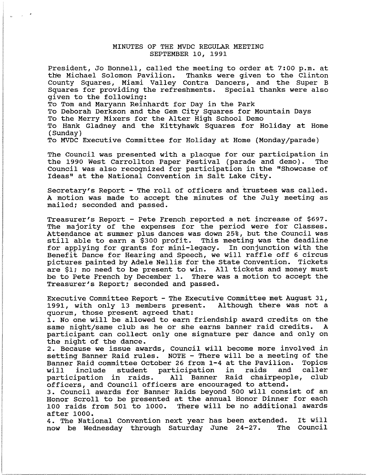## MINUTES OF THE MVDC REGULAR MEETING SEPTEMBER 10, 1991

President, Jo Bonnell, called the meeting to order at 7:00 p.m. at the Michael Solomon Pavilion. Thanks were given to the Clinton County Squares, Miami Valley Contra Dancers, and the Super B Squares for providing the refreshments. Special thanks were also given to the following: To Tom and Maryann Reinhardt for Day in the Park

To Deborah Derkson and the Gem City Squares for Mountain Days

To the Merry Mixers for the Alter High School Demo

To Hank Gladney and the Kittyhawk Squares for Holiday at Home (Sunday)

To MVDC Executive Committee for Holiday at Home (Monday/parade)

The Council was presented with a placque for our participation in the 1990 West Carrollton Paper Festival (parade and demo). The Council was also recognized for participation in the "Showcase of Ideas" at the National Convention in Salt Lake city.

Secretary's Report - The roll of officers and trustees was called. A motion was made to accept the minutes of the July meeting as mailed; seconded and passed.

Treasurer's Report - Pete French reported a net increase of \$697. The majority of the expenses for the period were for Classes. Attendance at summer plus dances was down 25%, but the Council was still able to earn a \$300 profit. This meeting was the deadline still able to earn a \$300 profit. This meeting was the deadline<br>for applying for grants for mini-legacy. In conjunction with the for applying for grants for mini-legacy. Benefit Dance for Hearing and Speech, we will raffle off 6 circus<br>pictures painted by Adele Nellis for the State Convention. Tickets pictures painted by Adele Nellis for the State Convention. are \$1; no need to be present to win. All tickets and money must be to Pete French by December 1. There was a motion to accept the Treasurer's Report; seconded and passed.

Executive Committee Report - The Executive Committee met August 31, 1991, with only 13 members present. Although there was not a quorum, those present agreed that:

1. No one will be allowed to earn friendship award credits on the same night/same club as he or she earns banner raid credits. A participant can collect only one signature per dance and only on the night of the dance.

2. Because we issue awards, Council will become more involved in setting Banner Raid rules. NOTE - There will be a meeting of the Banner Raid committee October 26 from 1-4 at the Pavilion. Topics will include student participation in raids and caller participation in raids. All Banner Raid chairpeople, club officers, and Council officers are encouraged to attend.

3. Council awards for Banner Raids beyond 500 will consist of an Honor Scroll to be presented at the annual Honor Dinner for each<br>100 raids from 501 to 1000. There will be no additional awards There will be no additional awards after 1000.

4. The National Convention next year has been extended. now be Wednesday through Saturday June 24-27. The Council It will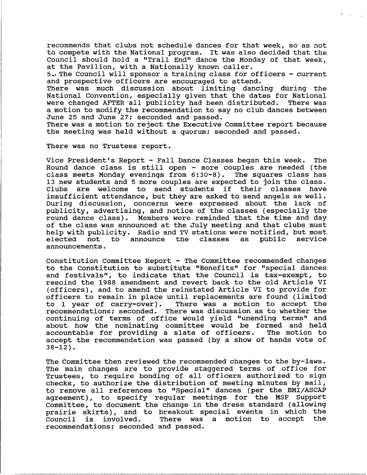recommends that clubs not schedule dances for that week, so as not to compete with the National program. It was also decided that the Council should hold a "Trail End" dance the Monday of that week, at the Pavilion, with a Nationally known caller.

5., The Council will sponsor a training class for officers - current and prospective officers are encouraged to attend.

There was much discussion about limiting dancing during the National Convention, especially given that the dates for National were changed AFTER all publicity had been distributed. There was a motion to modify the recommendation to say no club dances between June 25 and June 27; seconded and passed.

There was a motion to reject the Executive Committee report because the meeting was held without a quorum; seconded and passed.

There was no Trustees report.

Vice President's Report - Fall Dance Classes began this week. The Round dance class is still open - more couples are needed (the class meets Monday evenings from 6:30-8). The squares class has 13 new students and 5 more couples are expected to join the class. Clubs are welcome to send students if their classes have insufficient attendance, but they are asked to send angels as well. During discussion, concerns were expressed about the lack of publicity, advertising, and notice of the classes (especially the round dance class). Members were reminded that the time and day of the class was announced at the July meeting and that clubs must help with publicity. Radio and TV stations were notified, but most elected not to announce the classes as public service elected not to announce the classes as public service announcements.

Constitution Committee Report - The Committee recommended changes to the Constitution to SUbstitute "Benefits" for "special dances and festivals", to indicate that the Council is tax-exempt, to rescind the 1988 amendment and revert back to the old Article VI (officers), and to amend the reinstated Article VI to provide for officers to remain in place until replacements are found (limited to 1 year of carry-over). There was a motion to accept the recommendations; seconded. There was discussion as to whether the continuing of terms of office would yield "unending terms" and about how the nominating committee would be formed and held accountable for providing a slate of officers. The motion to accept the recommendation was passed (by a show of hands vote of  $38 - 12$ ).

The Committee then reviewed the recommended changes to the by-laws. The main changes are to provide staggered terms of office for Trustees, to require bonding of all officers authorized to sign checks, to authorize the distribution of meeting minutes by mail, to remove all references to "Special" dances (per the BMI/ASCAP agreement), to specify regular meetings for the MSP Support Committee, to document the change in the dress standard (allowing prairie skirts), and to breakout special events in which the Council is involved. There was a motion to accept the recommendations; seconded and passed.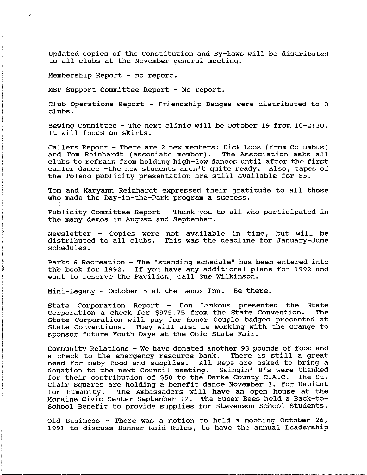Updated copies of the constitution and By-laws will be distributed to all clubs at the November general meeting.

Membership Report - no report.

MSP Support Committee Report - No report.

Club Operations Report - Friendship Badges were distributed to 3 clubs.

Sewing committee - The next clinic will be October 19 from 10-2:30. It will focus on skirts.

Callers Report - There are 2 new members: Dick Loos (from Columbus) and Tom Reinhardt (associate member). The Association asks all clubs to refrain from holding high-low dances until after the first caller dance -the new students aren't quite ready. Also, tapes of the Toledo publicity presentation are still available for \$5.

Tom and Maryann Reinhardt expressed their gratitude to all those who made the Day-in-the-Park program a success.

Publicity Committee Report - Thank-you to all who participated in the many demos in August and September.

Newsletter - Copies were not available in time, but will be distributed to all clubs. This was the deadline for January-June schedules.

Parks & Recreation - The "standing schedule" has been entered into the book for 1992. If you have any additional plans for 1992 and want to reserve the Pavilion, call Sue Wilkinson.

Mini-Legacy - October 5 at the Lenox Inn. Be there.

State Corporation Report - Don Linkous presented the State Corporation a check for \$979.75 from the State Convention. The State Corporation will pay for Honor Couple badges presented at State Conventions. They will also be working with the Grange to sponsor future youth Days at the Ohio State Fair.

Community Relations - We have donated another 93 pounds of food and a check to the emergency resource bank. There is still a great need for baby food and supplies. All Reps are asked to bring a donation to the next Council meeting. Swingin' 8's were thanked<br>for their contribution of \$50 to the Darke County C.A.C. The St. for their contribution of \$50 to the Darke County  $C.A.C.$ Clair Squares are holding a benefit dance November 1. for Habitat for Humanity. The Ambassadors will have an open house at the Moraine Civic Center September 17. The Super Bees held a Back-to-School Benefit to provide supplies for Stevenson School Students.

Old Business - There was a motion to hold a meeting October 26, 1991 to discuss Banner Raid Rules, to have the annual Leadership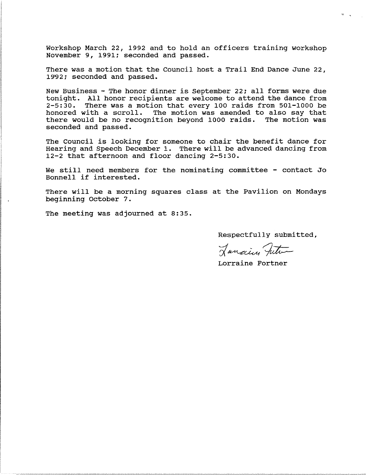Workshop March 22, 1992 and to hold an officers training workshop November 9, 1991; seconded and passed.

There was a motion that the Council host a Trail End Dance June 22, 1992; seconded and passed.

New Business - The honor dinner is September 22; all forms were due tonight. All honor recipients are welcome to attend the dance from 2-5:30. There was a motion that every 100 raids from 501-1000 be honored with a scroll. The motion was amended to also say that there would be no recognition beyond 1000 raids. The motion was seconded and passed.

The Council is looking for someone to chair the benefit dance for Hearing and Speech December 1. There will be advanced dancing from 12-2 that afternoon and floor dancing 2-5:30.

We still need members for the nominating committee - contact Jo Bonnell if interested.

There will be a morning squares class at the Pavilion on Mondays beginning October 7.

The meeting was adjourned at 8:35.

Respectfully submitted,

Lancing Futur

Lorraine Fortner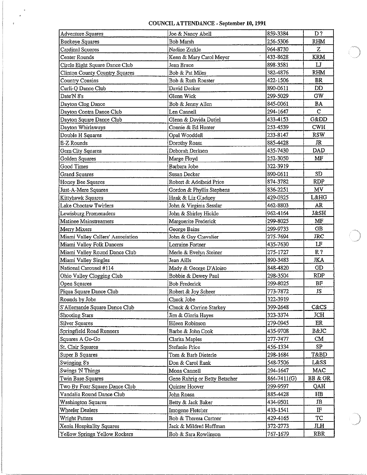## COUNCIL ATTENDANCE - September 10, 1991

| Adventure Squares                     | Joe & Nancy Abell                     | 859-3384    | D?              |
|---------------------------------------|---------------------------------------|-------------|-----------------|
| <b>Buckeye Squares</b>                | <b>Bob Marsh</b>                      | 256-5306    | <b>RHM</b>      |
| Cardinal Squares                      | Nadine Zerkle                         | 964-8730    | z               |
| Center Rounds                         | $\epsilon$<br>Kenn & Mary Carol Meyer | 433-8628    | <b>KRM</b>      |
| Circle Eight Square Dance Club        | Jean Bruce                            | 898-3581    | $\mathbf{L}$    |
| <b>Clinton County Country Squares</b> | Bob & Pat Miles                       | 382-4876    | RHM             |
| Country Cousins                       | Bob & Ruth Rouster                    | 422-1506    | BR              |
| Curli-Q Dance Club                    | David Decker                          | 890-0611    | <b>DD</b>       |
| Date N 8's                            | Glenn Wick                            | 299-5029    | GW              |
| Dayton Clog Dance                     | Bob & Jenny Allen                     | 845-0061    | BA              |
| Dayton Contra Dance Club              | Len Cannell                           | 294-1647    | $\mathbf C$     |
| Dayton Square Dance Club              | Glenn & Davida Dutiel                 | 433-4153    | Gⅅ              |
| Dayton Whirlaways                     | Connie & Ed Hunter                    | 253-4539    | <b>CWH</b>      |
| Double H Squares                      | Opal Wooddell                         | 233-8147    | <b>RSW</b>      |
| E-Z Rounds                            | Dorothy Roasa                         | 885-4428    | JR              |
| Gem City Squares                      | Deborah Derksen                       | 435-7430    | <b>DAD</b>      |
| Golden Squares                        | Marge Floyd                           | 252-3050    | MF              |
| Good Times                            | Barbara Jobe                          | 322-3919    |                 |
| <b>Grand Squares</b>                  | Susan Decker                          | 890-0611    | SD              |
| Honey Bee Squares                     | Robert & Adelheid Price               | 874-3782    | RDP             |
| Just-A-Mere Squares                   | Gordon & Phyllis Stephens             | 836-2251    | MV.             |
| Kittyhawk Squares                     | Hank & Liz Gladney                    | 429-0325    | <b>L&amp;HG</b> |
| Lake Choctaw Twirlers                 | John & Virginia Sesslar               | 462-8803    | AR              |
| Lewisburg Promenaders                 | John & Shirley Hickle                 | 962-4164    | J&SH            |
| Matinee Mainstreamers                 | Marguerite Frederick                  | 299-8025    | MF              |
| Merry Mixers                          | George Bains                          | 299-9733    | $\overline{CB}$ |
| Miami Valley Callers' Association     | John & Gay Chevalier                  | 275-7694    | JRC             |
| Miami Valley Folk Dancers             | Lorraine Fortner                      | 435-7630    | LF              |
| Miami Valley Round Dance Club         | Merle & Evelyn Steiner                | 275-1727    | R <sub>2</sub>  |
| Miami Valley Singles                  | Jean Aills                            | 890-3483    | <b>JKA</b>      |
| National Carousel #114                | Mady & George D'Aloiso                | 848-4820    | <b>GD</b>       |
| Ohio Valley Clogging Club             | Bobbie & Dewey Paul                   | 298-3504    | <b>RDP</b>      |
| Open Squares                          | <b>Bob Frederick</b>                  | 299-8025    | BF              |
| Piqua Square Dance Club               | Robert & Joy Scheer                   | 773-7872    | JS              |
| Rounds by Jobe                        | Chuck Jobe                            | 322-3919    |                 |
| S'Allemande Square Dance Club         | Chuck & Corrine Starkey               | 399-2648    | $C\&CS$         |
| Shooting Stars                        | Jim & Gloria Hayes                    | 323-3374    | <b>JCH</b>      |
| Silver Squares                        | Eileen Robinson                       | 279-0945    | ER              |
| Springfield Road Runners              | Barbe & John Cook                     | 435-9708    | B&JC            |
| Squares A Go-Go                       | Clarita Maples                        | 277-7477    | CM              |
| St. Clair Squares                     | Stefanie Price                        | 456-1334    | SP              |
| Super B Squares                       | Tom & Barb Dieterle                   | 298-1684    | T&BD            |
| Swinging 8's                          | Don & Carol Rank                      | 548-7506    | L&SS            |
| Swings 'N Things                      | Mona Cannell                          | 294-1647    | MAC             |
| Twin Base Squares                     | Gene Rahrig or Betty Betscher         | 864-7411(G) | BB & GR         |
| Two By Four Square Dance Club         | Quinter Hoover                        | 299-9597    | QAH             |
| Vandalia Round Dance Club             | John Roasa                            | 885-4428    | $_{\rm HB}$     |
| <b>Washington Squares</b>             | Betty & Jack Baker                    | 434-9501    | JB              |
| Wheeler Dealers                       | Imogene Fletcher                      | 433-1541    | $_{\rm I\!F}$   |
| <b>Wright Patters</b>                 | Bob & Theresa Curtner                 | 429-4165    | <b>TC</b>       |
| Xenia Hospitality Squares             | Jack & Mildred Huffman                | 372-2773    | ЛH              |
| Yellow Springs Yellow Rockers         | Bob & Sara Rowlinson                  | 767-1679    | RBR             |
|                                       |                                       |             |                 |